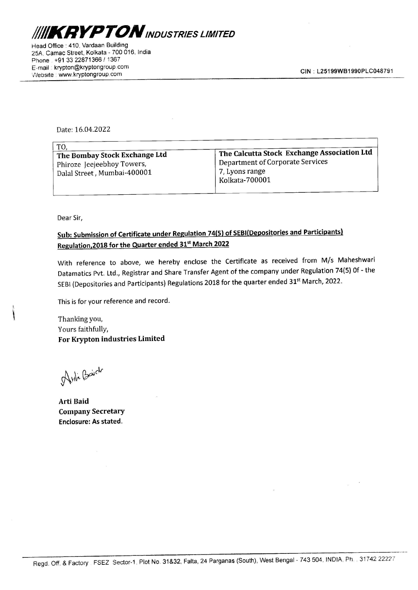

Head Office : 410, Vardaan Building 25A, Camac Street, Kolkata - 700 016, India Phone . +91 33 22871366 / 1367 E-mail : krypton@kryptongroup.com VWebsite | www.kryptongroup.com Frice : 410, Vardaan Building<br>
Frice : 410, Vardaan Building<br>
wmac Street, Kolkata - 700 016, India<br>
+91 33 22871366 / 1367<br>
krypton@kryptongroup.com<br>
Exww.kryptongroup.com<br>
Date: 16.04.2022 TON INDUSTRIES LIM<br>
ffice : 410, Vardaan Building<br>
mac Street, Kolkata - 700 016, India<br>
+91 33 22871366 / 1367<br>
krypton@kryptongroup.com<br>
Example 2011<br>
Macket : 16.04.2022<br>
TO,

| <b>KRYPTON</b> INDUSTRIES LIMITED                                            |                                             |
|------------------------------------------------------------------------------|---------------------------------------------|
|                                                                              |                                             |
| ffice : 410, Vardaan Building<br>imac Street, Kolkata - 700 016, India       |                                             |
| +91 33 22871366 / 1367<br>krypton@kryptongroup.com<br>: www.kryptongroup.com | CIN: L25199WB1990PLC0                       |
|                                                                              |                                             |
|                                                                              |                                             |
| Date: 16.04.2022                                                             |                                             |
|                                                                              |                                             |
| TO,                                                                          | The Calcutta Stock Exchange Association Ltd |
| The Bombay Stock Exchange Ltd<br>Phiroze Jeejeebhoy Towers,                  | <b>Department of Corporate Services</b>     |
| Dalal Street, Mumbai-400001                                                  | 7, Lyons range                              |
|                                                                              | <b>Kolkata-700001</b>                       |

Dear Sir,

## Sub: Submission of Certificate under Regulation 74(5) of SEBI(Depositories and Participants) Regulation, 2018 for the Quarter ended 31<sup>st</sup> March 2022

With reference to above, we hereby enclose the Certificate as received from M/s Maheshwari Datamatics Pvt. Ltd., Registrar and Share Transfer Agent of the company under Regulation 74(5) Of - the SEBI (Depositories and Participants) Regulations 2018 for the quarter ended 31<sup>st</sup> March, 2022. Data) street, Munioal-400001<br>
Dear Sir,<br>
Sub: Submission of Certificate under Regulation 74<br>
Regulation, 2018 for the Quarter ended 31<sup>x</sup> March.<br>
With reference to above, we hereby endose the State Data Pransfer A<br>
SEBI (

This is for your reference and record.

Thanking you, Yours faithfully, For Krypton industries Limited

Asti Baich

Arti Baid Company Secretary Enclosure: As stated.